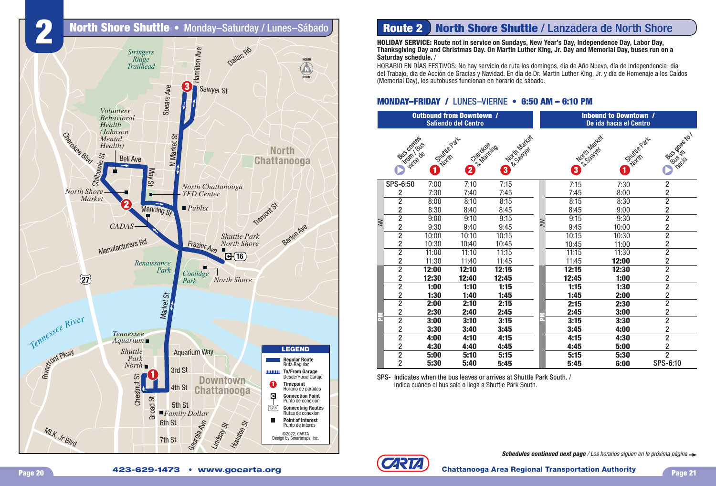

## **Route 2** North Shore Shuttle / Lanzadera de North Shore

**HOLIDAY SERVICE: Route not in service on Sundays, New Year's Day, Independence Day, Labor Day, Thanksgiving Day and Christmas Day. On Martin Luther King, Jr. Day and Memorial Day, buses run on a Saturday schedule.** /

HORARIO EN DÍAS FESTIVOS: No hay servicio de ruta los domingos, día de Año Nuevo, día de Independencia, día del Trabajo, día de Acción de Gracias y Navidad. En día de Dr. Martin Luther King, Jr. y día de Homenaje a los Caídos (Memorial Day), los autobuses funcionan en horario de sábado.

## **MONDAY–FRIDAY / LUNES–VIERNE • 6:50 AM – 6:10 PM**

|               |                                            | <b>Outbound from Downtown /</b><br><b>Saliendo del Centro</b> |                     |                               | <b>Inbound to Downtown /</b><br>De ida hacia el Centro |  |                        |                    |                         |
|---------------|--------------------------------------------|---------------------------------------------------------------|---------------------|-------------------------------|--------------------------------------------------------|--|------------------------|--------------------|-------------------------|
|               | Bus comes<br><b>From / Bus</b><br>viene de | Shuttle Park<br>North<br>0                                    | Cited Marities<br>2 | North Market<br>& Sawyer<br>8 |                                                        |  | No Critical River<br>8 | Silvitre Part<br>0 | Police de to I<br>nacia |
| NΝ            | SPS-6:50                                   | 7:00                                                          | 7:10                | 7:15                          |                                                        |  | 7:15                   | 7:30               | $\overline{2}$          |
|               | $\overline{2}$                             | 7:30                                                          | 7:40                | 7:45                          |                                                        |  | 7:45                   | 8:00               | $\frac{2}{2}$           |
|               | $\overline{2}$                             | 8:00                                                          | 8:10                | 8:15                          |                                                        |  | 8:15                   | 8:30               |                         |
|               | $\overline{2}$                             | 8:30                                                          | 8:40                | 8:45                          |                                                        |  | 8:45                   | 9:00               | $\overline{\mathbf{c}}$ |
|               | $\overline{2}$                             | 9:00                                                          | 9:10                | 9:15                          | <b>AM</b>                                              |  | 9:15                   | 9:30               | $\overline{2}$          |
|               | $\overline{2}$                             | 9:30                                                          | 9:40                | 9:45                          |                                                        |  | 9:45                   | 10:00              | $\frac{2}{2}$           |
|               | $\overline{2}$                             | 10:00                                                         | 10:10               | 10:15                         |                                                        |  | 10:15                  | 10:30              |                         |
|               | $\overline{2}$                             | 10:30                                                         | 10:40               | 10:45                         |                                                        |  | 10:45                  | 11:00              | $\overline{2}$          |
|               | $\overline{2}$                             | 11:00                                                         | 11:10               | 11:15                         |                                                        |  | 11:15                  | 11:30              | $\overline{2}$          |
|               | $\overline{2}$                             | 11:30                                                         | 11:40               | 11:45                         |                                                        |  | 11:45                  | 12:00              | $\overline{2}$          |
|               | $\overline{2}$                             | 12:00                                                         | 12:10               | 12:15                         |                                                        |  | 12:15                  | 12:30              | $\overline{2}$          |
|               | $\overline{2}$                             | 12:30                                                         | 12:40               | 12:45                         |                                                        |  | 12:45                  | 1:00               | $\overline{2}$          |
|               | $\overline{2}$                             | 1:00                                                          | 1:10                | 1:15                          |                                                        |  | 1:15                   | 1:30               | $\overline{2}$          |
|               | $\overline{2}$                             | 1:30                                                          | 1:40                | 1:45                          |                                                        |  | 1:45                   | 2:00               | $\overline{2}$          |
| $\frac{1}{2}$ | $\overline{2}$                             | 2:00                                                          | 2:10                | 2:15                          |                                                        |  | 2:15                   | 2:30               | $\overline{2}$          |
|               | $\overline{2}$                             | 2:30                                                          | 2:40                | 2:45                          |                                                        |  | 2:45                   | 3:00               | $\overline{\mathbf{c}}$ |
|               | $\overline{2}$                             | 3:00                                                          | 3:10                | 3:15                          | a.                                                     |  | 3:15                   | 3:30               | $\overline{2}$          |
|               | $\overline{2}$                             | 3:30                                                          | 3:40                | 3:45                          |                                                        |  | 3:45                   | 4:00               | $\overline{c}$          |
|               | $\overline{2}$                             | 4:00                                                          | 4:10                | 4:15                          |                                                        |  | 4:15                   | 4:30               | $\overline{2}$          |
|               | $\overline{2}$                             | 4:30                                                          | 4:40                | 4:45                          |                                                        |  | 4:45                   | 5:00               | $\frac{2}{2}$           |
|               | $\overline{2}$                             | 5:00                                                          | 5:10                | 5:15                          |                                                        |  | 5:15                   | 5:30               |                         |
|               | $\overline{2}$                             | 5:30                                                          | 5:40                | 5:45                          |                                                        |  | 5:45                   | 6:00               | SPS-6:10                |

SPS- Indicates when the bus leaves or arrives at Shuttle Park South. / Indica cuándo el bus sale o llega a Shuttle Park South.